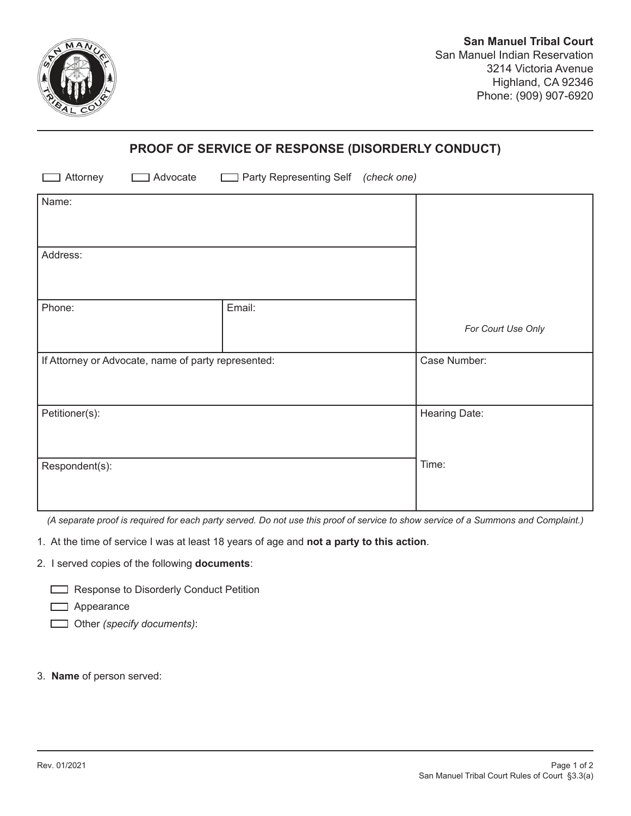

## **PROOF OF SERVICE OF RESPONSE (DISORDERLY CONDUCT)**

| Advocate<br>Attorney                                | Party Representing Self (check one) |                    |
|-----------------------------------------------------|-------------------------------------|--------------------|
| Name:                                               |                                     |                    |
| Address:                                            |                                     |                    |
| Phone:                                              | Email:                              | For Court Use Only |
| If Attorney or Advocate, name of party represented: |                                     | Case Number:       |
| Petitioner(s):                                      |                                     | Hearing Date:      |
| Respondent(s):                                      |                                     | Time:              |

*(A separate proof is required for each party served. Do not use this proof of service to show service of a Summons and Complaint.)* 

1. At the time of service I was at least 18 years of age and **not a party to this action**.

2. I served copies of the following **documents**:

Response to Disorderly Conduct Petition

**D** Appearance

Other *(specify documents)*:

3. **Name** of person served: